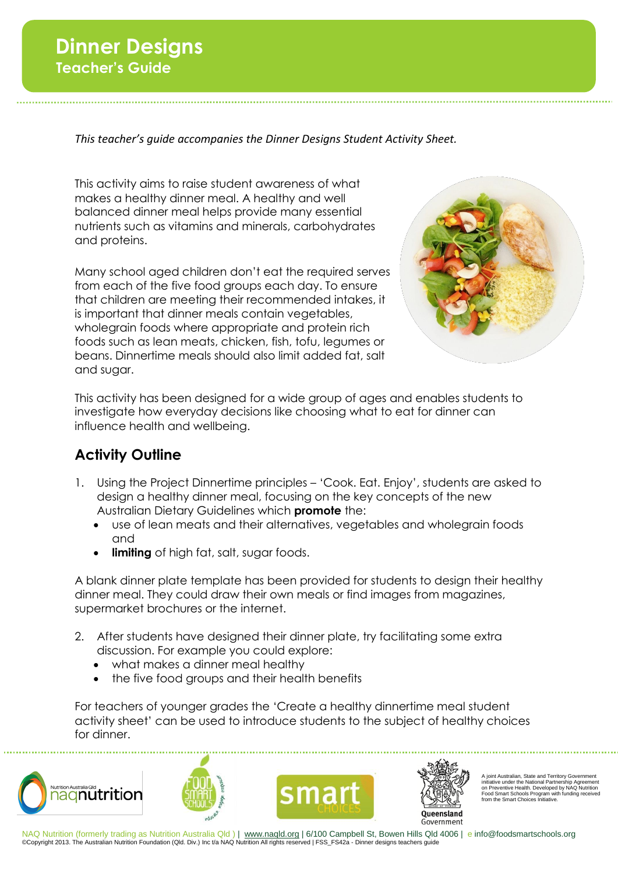## **Dinner Designs Teacher's Guide**

*This teacher's guide accompanies the Dinner Designs Student Activity Sheet.*

This activity aims to raise student awareness of what makes a healthy dinner meal. A healthy and well balanced dinner meal helps provide many essential nutrients such as vitamins and minerals, carbohydrates and proteins.

Many school aged children don't eat the required serves from each of the five food groups each day. To ensure that children are meeting their recommended intakes, it is important that dinner meals contain vegetables, wholegrain foods where appropriate and protein rich foods such as lean meats, chicken, fish, tofu, legumes or beans. Dinnertime meals should also limit added fat, salt and sugar.



This activity has been designed for a wide group of ages and enables students to investigate how everyday decisions like choosing what to eat for dinner can influence health and wellbeing.

## **Activity Outline**

- 1. Using the Project Dinnertime principles 'Cook. Eat. Enjoy', students are asked to design a healthy dinner meal, focusing on the key concepts of the new Australian Dietary Guidelines which **promote** the:
	- use of lean meats and their alternatives, vegetables and wholegrain foods and
	- **limiting** of high fat, salt, sugar foods.

A blank dinner plate template has been provided for students to design their healthy dinner meal. They could draw their own meals or find images from magazines, supermarket brochures or the internet.

- 2. After students have designed their dinner plate, try facilitating some extra discussion. For example you could explore:
	- what makes a dinner meal healthy
	- the five food groups and their health benefits

For teachers of younger grades the 'Create a healthy dinnertime meal student activity sheet' can be used to introduce students to the subject of healthy choices for dinner.









A joint Australian, State and Territory Government initiative under the National Partnership Agreement on Preventive Health. Developed by NAQ Nutrition Food Smart Schools Program with funding received from the Smart Choices Initiative.

NAQ Nutrition (formerly trading as Nutrition Australia Qld ) | www.naqld.org | 6/100 Campbell St, Bowen Hills Qld 4006 | e info@foodsmartschools.org ©Copyright 2013. The Australian Nutrition Foundation (Qld. Div.) Inc t/a NAQ Nutrition All rights reserved | FSS\_FS42a - Dinner designs teachers guide